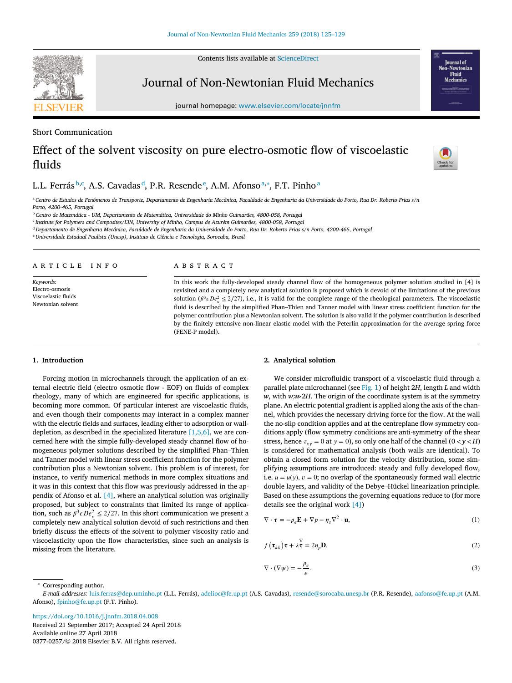Contents lists available at [ScienceDirect](http://www.ScienceDirect.com)



journal homepage: [www.elsevier.com/locate/jnnfm](http://www.elsevier.com/locate/jnnfm)

# Short Communication

# Effect of the solvent viscosity on pure electro-osmotic flow of viscoelastic fluids



<sup>a</sup> Centro de Estudos de Fenómenos de Transporte, Departamento de Engenharia Mecânica, Faculdade de Engenharia da Universidade do Porto, Rua Dr. Roberto Frias s/n *Porto, 4200-465, Portugal*

<sup>b</sup> *Centro de Matemática - UM, Departamento de Matemática, Universidade do Minho Guimarães, 4800-058, Portugal*

<sup>c</sup> *Institute for Polymers and Composites/I3N, University of Minho, Campus de Azurém Guimarães, 4800-058, Portugal*

<sup>d</sup> Departamento de Engenharia Mecânica, Faculdade de Engenharia da Universidade do Porto, Rua Dr. Roberto Frias s/n Porto, 4200-465, Portugal

<sup>e</sup> *Universidade Estadual Paulista (Unesp), Instituto de Ciência e Tecnologia, Sorocaba, Brasil*

# a r t i c l e i n f o

*Keywords:* Electro-osmosis Viscoelastic fluids Newtonian solvent

### A B S T R A C T

In this work the fully-developed steady channel flow of the homogeneous polymer solution studied in [4] is revisited and a completely new analytical solution is proposed which is devoid of the limitations of the previous solution ( $\beta^3 \varepsilon De_x^2 \leq 2/27$ ), i.e., it is valid for the complete range of the rheological parameters. The viscoelastic fluid is described by the simplified Phan–Thien and Tanner model with linear stress coefficient function for the polymer contribution plus a Newtonian solvent. The solution is also valid if the polymer contribution is described by the finitely extensive non-linear elastic model with the Peterlin approximation for the average spring force (FENE-P model).

#### **1. Introduction**

Forcing motion in microchannels through the application of an external electric field (electro osmotic flow - EOF) on fluids of complex rheology, many of which are engineered for specific applications, is becoming more common. Of particular interest are viscoelastic fluids, and even though their components may interact in a complex manner with the electric fields and surfaces, leading either to adsorption or walldepletion, as described in the specialized literature  $[1,5,6]$ , we are concerned here with the simple fully-developed steady channel flow of homogeneous polymer solutions described by the simplified Phan–Thien and Tanner model with linear stress coefficient function for the polymer contribution plus a Newtonian solvent. This problem is of interest, for instance, to verify numerical methods in more complex situations and it was in this context that this flow was previously addressed in the appendix of Afonso et al. [\[4\],](#page-4-0) where an analytical solution was originally proposed, but subject to constraints that limited its range of application, such as  $\beta^3 \varepsilon De_\kappa^2 \leq 2/27$ . In this short communication we present a completely new analytical solution devoid of such restrictions and then briefly discuss the effects of the solvent to polymer viscosity ratio and viscoelasticity upon the flow characteristics, since such an analysis is missing from the literature.

#### **2. Analytical solution**

We consider microfluidic transport of a viscoelastic fluid through a parallel plate microchannel (see [Fig.](#page-1-0) 1) of height 2*H*, length *L* and width *w*, with *w*⋙2*H*. The origin of the coordinate system is at the symmetry plane. An electric potential gradient is applied along the axis of the channel, which provides the necessary driving force for the flow. At the wall the no-slip condition applies and at the centreplane flow symmetry conditions apply (flow symmetry conditions are anti-symmetry of the shear stress, hence  $\tau_{xy} = 0$  at  $y = 0$ ), so only one half of the channel  $(0 < y < H)$ is considered for mathematical analysis (both walls are identical). To obtain a closed form solution for the velocity distribution, some simplifying assumptions are introduced: steady and fully developed flow, i.e.  $u = u(y)$ ,  $v = 0$ ; no overlap of the spontaneously formed wall electric double layers, and validity of the Debye–Hückel linearization principle. Based on these assumptions the governing equations reduce to (for more details see the original work [\[4\]\)](#page-4-0)

$$
\nabla \cdot \boldsymbol{\tau} = -\rho_e \mathbf{E} + \nabla p - \eta_s \nabla^2 \cdot \mathbf{u},\tag{1}
$$

$$
f(\tau_{kk})\tau + \lambda \tau = 2\eta_p \mathbf{D},\tag{2}
$$

$$
\nabla \cdot (\nabla \psi) = -\frac{\rho_e}{\epsilon}.
$$
\n(3)

<sup>∗</sup> Corresponding author.

<https://doi.org/10.1016/j.jnnfm.2018.04.008> Received 21 September 2017; Accepted 24 April 2018 Available online 27 April 2018 0377-0257/© 2018 Elsevier B.V. All rights reserved.

<span id="page-0-0"></span>



**Iournal** of **Fluid** 

*E-mail addresses:* [luis.ferras@dep.uminho.pt](mailto:luis.ferras@dep.uminho.pt) (L.L. Ferrás), [adelioc@fe.up.pt](mailto:adelioc@fe.up.pt) (A.S. Cavadas), [resende@sorocaba.unesp.br](mailto:resende@sorocaba.unesp.br) (P.R. Resende), [aafonso@fe.up.pt](mailto:aafonso@fe.up.pt) (A.M. Afonso), [fpinho@fe.up.pt](mailto:fpinho@fe.up.pt) (F.T. Pinho).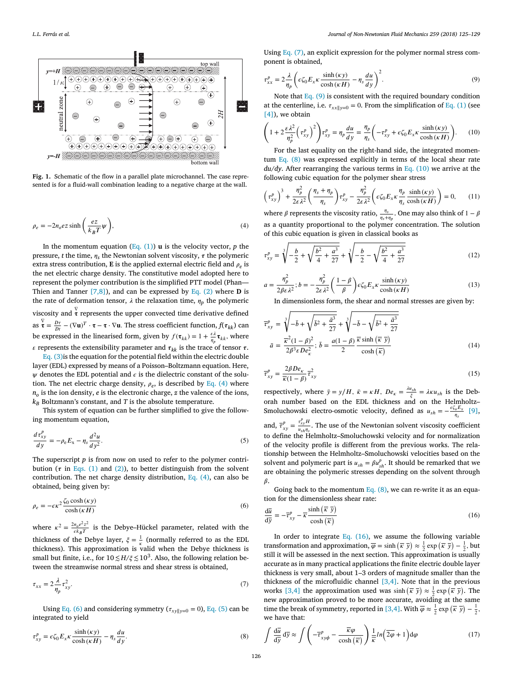<span id="page-1-0"></span>

**Fig. 1.** Schematic of the flow in a parallel plate microchannel. The case represented is for a fluid-wall combination leading to a negative charge at the wall.

$$
\rho_e = -2n_0ez \sinh\left(\frac{ez}{k_B T}\psi\right),\tag{4}
$$

In the momentum equation [\(Eq.](#page-0-0)  $(1)$ ) **u** is the velocity vector, *p* the pressure, *t* the time,  $\eta_s$  the Newtonian solvent viscosity,  $\tau$  the polymeric extra stress contribution, **E** is the applied external electric field and  $\rho_e$  is the net electric charge density. The constitutive model adopted here to represent the polymer contribution is the simplified PTT model (Phan— Thien and Tanner [\[7,8\]\)](#page-4-0), and can be expressed by [Eq.](#page-0-0) (2) where **D** is the rate of deformation tensor,  $\lambda$  the relaxation time,  $\eta_p$  the polymeric viscosity and  $\tau$  represents the upper convected time derivative defined as  $\overline{\mathbf{x}} = \frac{D\mathbf{r}}{Dt} - (\nabla \mathbf{u})^T \cdot \mathbf{\tau} - \mathbf{\tau} \cdot \nabla \mathbf{u}$ . The stress coefficient function,  $f(\tau_{kk})$  can be expressed in the linearised form, given by  $f(\tau_{kk}) = 1 + \frac{\varepsilon \lambda}{\eta_p} \tau_{kk}$ , where  $\varepsilon$  represents the extensibility parameter and  $\tau_{kk}$  is the trace of tensor  $\tau$ .

Eq. [\(3\)i](#page-0-0)s the equation for the potential field within the electric double layer (EDL) expressed by means of a Poisson–Boltzmann equation. Here,  $\psi$  denotes the EDL potential and  $\epsilon$  is the dielectric constant of the solution. The net electric charge density,  $\rho_e$ , is described by Eq. (4) where  $n<sub>o</sub>$  is the ion density, *e* is the electronic charge, *z* the valence of the ions,  $k_B$  Boltzmann's constant, and *T* is the absolute temperature.

This system of equation can be further simplified to give the following momentum equation,

$$
\frac{d\tau_{xy}^p}{dy} = -\rho_e E_x - \eta_s \frac{d^2 u}{dy^2}.
$$
\n(5)

The superscript *p* is from now on used to refer to the polymer contribution ( $\tau$  in [Eqs.](#page-0-0) (1) and [\(2\)\)](#page-0-0), to better distinguish from the solvent contribution. The net charge density distribution, Eq. (4), can also be obtained, being given by:

$$
\rho_e = -\epsilon \kappa^2 \frac{\zeta_0 \cosh(\kappa y)}{\cosh(\kappa H)}
$$
\n(6)

where  $\kappa^2 = \frac{2n_0e^2z^2}{\epsilon k_BT}$  is the Debye-Hückel parameter, related with the thickness of the Debye layer,  $\xi = \frac{1}{\kappa}$  (normally referred to as the EDL thickness). This approximation is valid when the Debye thickness is small but finite, i.e., for  $10 \leq H/\xi \leq 10^3$ . Also, the following relation between the streamwise normal stress and shear stress is obtained,

$$
\tau_{xx} = 2\frac{\lambda}{\eta_p} \tau_{xy}^2. \tag{7}
$$

Using Eq. (6) and considering symmetry ( $\tau_{xy\|y=0} = 0$ ), Eq. (5) can be integrated to yield

$$
\tau_{xy}^p = \epsilon \zeta_0 E_x \kappa \frac{\sinh(\kappa y)}{\cosh(\kappa H)} - \eta_s \frac{du}{dy}.\tag{8}
$$

Using Eq.  $(7)$ , an explicit expression for the polymer normal stress component is obtained,

$$
\tau_{xx}^p = 2\frac{\lambda}{\eta_p} \left( \epsilon \zeta_0 E_x \kappa \frac{\sinh(\kappa y)}{\cosh(\kappa H)} - \eta_s \frac{du}{dy} \right)^2.
$$
 (9)

Note that Eq. (9) is consistent with the required boundary condition at the centerline, i.e.  $\tau_{xx||y=0} = 0$ . From the simplification of [Eq.](#page-0-0) (1) (see [\[4\]\)](#page-4-0), we obtain ( )

$$
\left(1+2\frac{\varepsilon\lambda^2}{\eta_p^2}\left(\tau_{xy}^p\right)^2\right)\tau_{xy}^p = \eta_p\frac{du}{dy} = \frac{\eta_p}{\eta_s}\left(-\tau_{xy}^p + \varepsilon\zeta_0 E_x\kappa\frac{\sinh\left(\kappa y\right)}{\cosh\left(\kappa H\right)}\right). \tag{10}
$$

For the last equality on the right-hand side, the integrated momentum Eq. (8) was expressed explicitly in terms of the local shear rate *du*/*dy*. After rearranging the various terms in Eq. (10) we arrive at the following cubic equation for the polymer shear stress

$$
\left(\tau_{xy}^p\right)^3 + \frac{\eta_p^2}{2\varepsilon\lambda^2} \left(\frac{\eta_s + \eta_p}{\eta_s}\right) \tau_{xy}^p - \frac{\eta_p^2}{2\varepsilon\lambda^2} \left(\varepsilon \zeta_0 E_x \kappa \frac{\eta_p}{\eta_s} \frac{\sinh(\kappa y)}{\cosh(\kappa H)}\right) = 0, \quad (11)
$$

where  $\beta$  represents the viscosity ratio,  $\frac{\eta_s}{\eta_s + \eta_p}$ . One may also think of  $1 - \beta$ as a quantity proportional to the polymer concentration. The solution of this cubic equation is given in classical books as →

$$
\tau_{xy}^p = \sqrt[3]{-\frac{b}{2} + \sqrt{\frac{b^2}{4} + \frac{a^3}{27}}} + \sqrt[3]{-\frac{b}{2} - \sqrt{\frac{b^2}{4} + \frac{a^3}{27}}}
$$
(12)

$$
a = \frac{\eta_p^2}{2\beta \epsilon \lambda^2}; b = -\frac{\eta_p^2}{2\epsilon \lambda^2} \left(\frac{1-\beta}{\beta}\right) \epsilon \zeta_0 E_x \kappa \frac{\sinh(\kappa y)}{\cosh(\kappa H)}\tag{13}
$$

In dimensionless form, the shear and normal stresses are given by:

$$
\overline{\tau}_{xy}^p = \sqrt[3]{-\overline{b} + \sqrt{\overline{b}^2 + \frac{\overline{a}^3}{27}}} + \sqrt[3]{-\overline{b} - \sqrt{\overline{b}^2 + \frac{\overline{a}^3}{27}}}
$$
\n
$$
\overline{a} = \frac{\overline{\kappa}^2 (1 - \beta)^2}{2\beta^3 \varepsilon D e_\kappa^2}; \overline{b} = \frac{a(1 - \beta)}{2} \frac{\overline{\kappa} \sinh\left(\overline{\kappa}\ \overline{y}\right)}{\cosh\left(\overline{\kappa}\right)}
$$
\n(14)

$$
\overline{\tau}_{xy}^p = \frac{2\beta D e_{\kappa}}{\overline{\kappa}(1-\beta)} \overline{\tau}_{xy}^2
$$
\n(15)

respectively, where  $\bar{y} = y/H$ ,  $\bar{\kappa} = \kappa H$ ,  $De_{\kappa} = \frac{\lambda u_{sh}}{\xi} = \lambda \kappa u_{sh}$  is the Deborah number based on the EDL thickness and on the Helmholtz– Smoluchowski electro-osmotic velocity, defined as  $u_{sh} = -\frac{\epsilon \zeta_o E_x}{\eta_s}$  [\[9\],](#page-4-0) and,  $\overline{\tau}_{xy}^p = \frac{\tau_{xy}^p H}{u_{xh} \eta_s}$  $\frac{f(x,y,z)}{u_{sh}\eta_s}$ . The use of the Newtonian solvent viscosity coefficient to define the Helmholtz–Smoluchowski velocity and for normalization of the velocity profile is different from the previous works. The rela-

tionship between the Helmholtz–Smoluchowski velocities based on the solvent and polymeric part is  $u_{sh} = \beta u_{sh}^p$ . It should be remarked that we are obtaining the polymeric stresses depending on the solvent through  $\beta$ .

Going back to the momentum Eq.  $(8)$ , we can re-write it as an equation for the dimensionless shear rate:<br>  $d\overline{u} = \int_{-\infty}^{\infty} \frac{\sinh(\overline{x} \overline{y})}{\sinh(\overline{x} \overline{y})}$ 

$$
\frac{d\overline{u}}{dy} = -\overline{\tau}_{xy}^p - \overline{\kappa} \frac{\sinh\left(\overline{\kappa}\ \overline{y}\right)}{\cosh\left(\overline{\kappa}\right)}
$$
(16)

In order to integrate Eq.  $(16)$ , we assume the following variable In order to integrate Eq. (16), we assume the following variable<br>transformation and approximation,  $\overline{\varphi} = \sinh(\overline{\kappa} \ \overline{y}) \approx \frac{1}{2} \exp(\overline{\kappa} \ \overline{y}) - \frac{1}{2}$ , but still it will be assessed in the next section. This approximation is usually accurate as in many practical applications the finite electric double layer thickness is very small, about 1–3 orders of magnitude smaller than the thickness of the microfluidic channel  $[3,4]$ . Note that in the previous the approximation used was sinh  $(\bar{x} \bar{y}) \approx \frac{1}{2} \exp(\bar{x} \bar{y})$ . The space is the approximation used was sinh  $(\bar{x} \bar{y}) \approx \frac{1}{2} \exp(\bar{x} \bar{y})$ . new approximation proved to be more accurate, avoiding at the same time the break of symmetry, reported in [\[3,4\].](#page-4-0) With  $\overline{\varphi} \approx \frac{1}{2} \exp\left(\overline{\kappa} \overline{y}\right) - \frac{1}{2}$ , we have that:  $\mathcal{L}$ )

$$
\int \frac{d\overline{u}}{d\overline{y}} d\overline{y} \approx \int \left( -\overline{\tau}_{xy\phi}^p - \frac{\overline{\kappa}\varphi}{\cosh(\overline{\kappa})} \right) \frac{1}{\overline{\kappa}} ln\left( \overline{2\varphi} + 1 \right) d\varphi \tag{17}
$$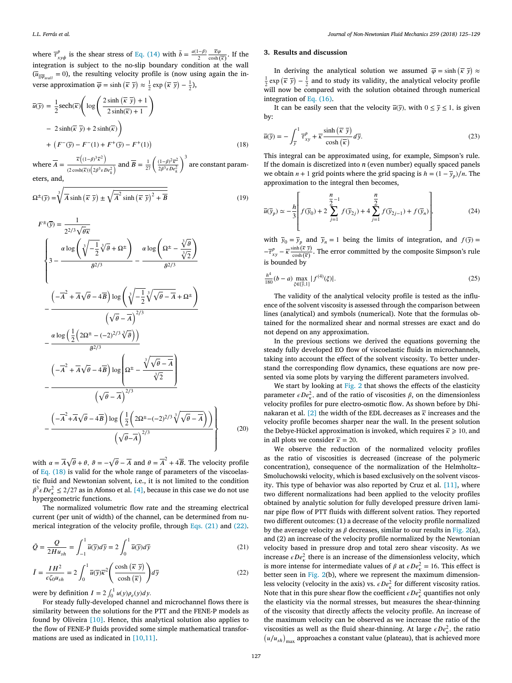<span id="page-2-0"></span>*L.L. Ferrás et al. Journal of Non-Newtonian Fluid Mechanics 259 (2018) 125–129*

where  $\overline{\tau}_{xy\phi}^p$  is the shear stress of Eq. [\(14\)](#page-1-0) with  $\overline{b} = \frac{a(1-\beta)}{2} \frac{\overline{\kappa}\varphi}{\cosh(\overline{\kappa})}$ . If the integration is subject to the no-slip boundary condition at the wall  $(\overline{u}_{\parallel \overline{\varphi}_{wall}} = 0)$ , the resulting velocity profile is (now using again the inverse approximation  $\overline{\varphi} = \sinh\left(\overline{\kappa} \overline{y}\right) \approx \frac{1}{2} \exp\left(\overline{\kappa} \overline{y}\right) - \frac{1}{2}$ ,

$$
\overline{u}(\overline{y}) = \frac{1}{2} \operatorname{sech}(\overline{\kappa}) \left( \log \left( \frac{2 \sinh(\overline{\kappa} \ \overline{y}) + 1}{2 \sinh(\overline{\kappa}) + 1} \right) \right)
$$
  
- 2 sinh( $\overline{\kappa} \ \overline{y}$ ) + 2 sinh( $\overline{\kappa}$ )  
+ ( $F^-(\overline{y}) - F^-(1) + F^+(\overline{y}) - F^+(1)$ )  
 $\overline{u}((1-\theta)^3 \overline{u}^2)$ 

where  $\overline{A} = \frac{\overline{\kappa}((1-\beta)^3\overline{\kappa}^2)}{1-\overline{\kappa}((1-\beta)^3\overline{\kappa}^2)}$  $\frac{\overline{\kappa}\left((1-\beta)^3\overline{\kappa}^2\right)}{(2\cosh(\overline{\kappa}))\left(2\beta^3\varepsilon De_k^2\right)}$  and  $\overline{B} = \frac{1}{27}\left(\frac{(1-\beta)^2\overline{\kappa}^2}{2\beta^3\varepsilon De_k^2}\right)$  $2\beta^3 \varepsilon De_k^2$ are constant parameters, and,

$$
\Omega^{\pm}(\overline{y}) = \sqrt[3]{\overline{A}\sinh\left(\overline{\kappa}\ \overline{y}\right) \pm \sqrt{\overline{A}^2 \sinh\left(\overline{\kappa}\ \overline{y}\right)^2 + \overline{B}}}
$$
(19)

$$
F^{\pm}(\overline{y}) = \frac{1}{2^{2/3}\sqrt{\theta\kappa}}
$$
  

$$
\left\{ 3 - \frac{\alpha \log \left( \sqrt[3]{-\frac{1}{2}} \sqrt[3]{\theta} + \Omega^{\pm} \right)}{\theta^{2/3}} - \frac{\alpha \log \left( \Omega^{\pm} - \frac{\sqrt[3]{\theta}}{\sqrt[3]{2}} \right)}{\theta^{2/3}} - \frac{\left( -\overline{A}^{2} + \overline{A}\sqrt{\theta} - 4\overline{B} \right) \log \left( \sqrt[3]{-\frac{1}{2}} \sqrt[3]{\sqrt{\theta} - \overline{A}} + \Omega^{\pm} \right)}{\left( \sqrt{\theta} - \overline{A} \right)^{2/3}} - \frac{\alpha \log \left( \frac{1}{2} \left( 2\Omega^{\pm} - (-2)^{2/3} \sqrt[3]{\theta} \right) \right)}{\theta^{2/3}} - \frac{\left( -\overline{A}^{2} + \overline{A}\sqrt{\theta} - 4\overline{B} \right) \log \left( \Omega^{\pm} - \frac{\sqrt[3]{\sqrt{\theta} - \overline{A}}}{\sqrt[3]{2}} \right)}{\left( \sqrt{\theta} - \overline{A} \right)^{2/3}} - \frac{\left( -\overline{A}^{2} + \overline{A}\sqrt{\theta} - 4\overline{B} \right) \log \left( \frac{1}{2} \left( 2\Omega^{\pm} - (-2)^{2/3} \sqrt[3]{\sqrt{\theta} - \overline{A}} \right) \right)}{\left( \sqrt{\theta} - \overline{A} \right)^{2/3}} \right\}
$$
(20)

with  $\alpha = A$ √  $\theta + \theta$ ,  $\theta = \sqrt{\theta} - \overline{A}$  and  $\theta = \overline{A}^2 + 4\overline{B}$ . The velocity profile of Eq. (18) is valid for the whole range of parameters of the viscoelastic fluid and Newtonian solvent, i.e., it is not limited to the condition  $\beta^3 \varepsilon De_\kappa^2 \leq 2/27$  as in Afonso et al. [\[4\],](#page-4-0) because in this case we do not use hypergeometric functions.

The normalized volumetric flow rate and the streaming electrical current (per unit of width) of the channel, can be determined from numerical integration of the velocity profile, through Eqs. (21) and (22).

$$
\bar{Q} = \frac{Q}{2Hu_{sh}} = \int_{-1}^{1} \overline{u}(\overline{y})d\overline{y} = 2\int_{0}^{1} \overline{u}(\overline{y})d\overline{y}
$$
\n(21)

$$
\bar{I} = \frac{IH^2}{\epsilon \zeta_0 u_{sh}} = 2 \int_0^1 \overline{u}(\overline{y}) \overline{\kappa}^2 \left( \frac{\cosh\left(\overline{\kappa} \ \overline{y}\right)}{\cosh\left(\overline{\kappa}\right)} \right) d\overline{y}
$$

were by definition  $I = 2 \int_0^1 u(y) \rho_e(y) dy$ .

For steady fully-developed channel and microchannel flows there is similarity between the solutions for the PTT and the FENE-P models as found by Oliveira [\[10\].](#page-4-0) Hence, this analytical solution also applies to the flow of FENE-P fluids provided some simple mathematical transformations are used as indicated in [\[10,11\].](#page-4-0)

## **3. Results and discussion**

In deriving the analytical solution we assumed  $\overline{\varphi} = \sinh(\overline{\kappa} \ \overline{y}) \approx$  $\frac{1}{2}$  exp  $(\overline{\kappa} \ \overline{y}) - \frac{1}{2}$  and to study its validity, the analytical velocity profile will now be compared with the solution obtained through numerical integration of Eq. [\(16\).](#page-1-0)

It can be easily seen that the velocity  $\overline{u(y)}$ , with  $0 \le y \le 1$ , is given by:

$$
\overline{u}(\overline{y}) = -\int_{\overline{y}}^{1} \overline{\tau}_{xy}^{p} + \overline{\kappa} \frac{\sinh\left(\overline{\kappa} \ \overline{y}\right)}{\cosh\left(\overline{\kappa}\right)} d\overline{y}.\tag{23}
$$

This integral can be approximated using, for example, Simpson's rule. If the domain is discretized into *n* (even number) equally spaced panels we obtain  $n + 1$  grid points where the grid spacing is  $h = (1 - \bar{y}_n)/n$ . The approximation to the integral then becomes,

$$
\overline{u}(\overline{y}_p) \simeq -\frac{h}{3} \left( f(\overline{y}_0) + 2 \sum_{j=1}^{n} f(\overline{y}_2) + 4 \sum_{j=1}^{n} f(\overline{y}_2) + f(\overline{y}_n) \right),
$$
(24)

with  $\bar{y}_0 = \bar{y}_p$  and  $\bar{y}_n = 1$  being the limits of integration, and  $f(\bar{y}) =$  $-\overline{\tau}_{xy}^p - \overline{\kappa} \frac{\sinh(\overline{\kappa} \ \overline{y})}{\cosh(\overline{\kappa})}$ . The error committed by the composite Simpson's rule is bounded by

$$
\frac{h^4}{180}(b-a)\max_{\xi\in[\overline{y},1]}|f^{(4)}(\xi)|.\tag{25}
$$

The validity of the analytical velocity profile is tested as the influence of the solvent viscosity is assessed through the comparison between lines (analytical) and symbols (numerical). Note that the formulas obtained for the normalized shear and normal stresses are exact and do not depend on any approximation.

In the previous sections we derived the equations governing the steady fully developed EO flow of viscoelastic fluids in microchannels, taking into account the effect of the solvent viscosity. To better understand the corresponding flow dynamics, these equations are now presented via some plots by varying the different parameters involved.

We start by looking at [Fig.](#page-3-0) 2 that shows the effects of the elasticity parameter  $\epsilon De_x^2$ , and of the ratio of viscosities  $\beta$ , on the dimensionless velocity profiles for pure electro-osmotic flow. As shown before by Dhi-nakaran et al. [\[2\]](#page-4-0) the width of the EDL decreases as  $\bar{k}$  increases and the velocity profile becomes sharper near the wall. In the present solution the Debye-Hückel approximation is invoked, which requires  $\bar{k} \geq 10$ , and in all plots we consider  $\bar{k} = 20$ .

We observe the reduction of the normalized velocity profiles as the ratio of viscosities is decreased (increase of the polymeric concentration), consequence of the normalization of the Helmholtz– Smoluchowski velocity, which is based exclusively on the solvent viscosity. This type of behavior was also reported by Cruz et al. [\[11\],](#page-4-0) where two different normalizations had been applied to the velocity profiles obtained by analytic solution for fully developed pressure driven laminar pipe flow of PTT fluids with different solvent ratios. They reported two different outcomes: (1) a decrease of the velocity profile normalized by the average velocity as  $\beta$  decreases, similar to our results in [Fig.](#page-3-0) 2(a), and (2) an increase of the velocity profile normalized by the Newtonian velocity based in pressure drop and total zero shear viscosity. As we increase  $\epsilon De_x^2$  there is an increase of the dimensionless velocity, which is more intense for intermediate values of  $\beta$  at  $\epsilon De_x^2 = 16$ . This effect is better seen in [Fig.](#page-3-0) 2(b), where we represent the maximum dimensionless velocity (velocity in the axis) vs.  $\epsilon De_k^2$  for different viscosity ratios. Note that in this pure shear flow the coefficient  $\epsilon De_x^2$  quantifies not only the elasticity via the normal stresses, but measures the shear-thinning of the viscosity that directly affects the velocity profile. An increase of the maximum velocity can be observed as we increase the ratio of the viscosities as well as the fluid shear-thinning. At large  $\epsilon De_x^2$ , the ratio  $h_{\mu}$ /*h* and as well as the fitud shear-thinning. At large  $\epsilon D \epsilon_{\mu}^*$ , the rational  $\mu/\mu_{sh}$  approaches a constant value (plateau), that is achieved more

(22)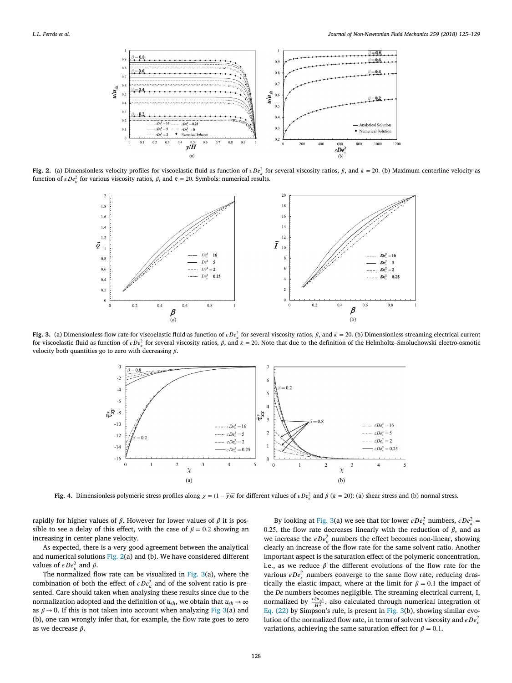<span id="page-3-0"></span>

**Fig.** 2. (a) Dimensionless velocity profiles for viscoelastic fluid as function of  $\epsilon De_x^2$  for several viscosity ratios,  $\beta$ , and  $\bar{\kappa} = 20$ . (b) Maximum centerline velocity as function of  $\epsilon De_x^2$  for various viscosity ratios,  $\beta$ , and  $\bar{\kappa} = 20$ . Symbols: numerical results.



**Fig. 3.** (a) Dimensionless flow rate for viscoelastic fluid as function of  $\epsilon D \epsilon_{\kappa}^2$  for several viscosity ratios,  $\beta$ , and  $\bar{\kappa} = 20$ . (b) Dimensionless streaming electrical current for viscoelastic fluid as function of  $\epsilon De_x^2$  for several viscosity ratios,  $\beta$ , and  $\bar{\kappa} = 20$ . Note that due to the definition of the Helmholtz–Smoluchowski electro-osmotic velocity both quantities go to zero with decreasing  $\beta$ .



**Fig.** 4. Dimensionless polymeric stress profiles along  $\chi = (1 - \bar{y})\bar{x}$  for different values of  $\epsilon De_x^2$  and  $\beta (\bar{x} = 20)$ : (a) shear stress and (b) normal stress.

rapidly for higher values of  $\beta$ . However for lower values of  $\beta$  it is possible to see a delay of this effect, with the case of  $\beta = 0.2$  showing an increasing in center plane velocity.

As expected, there is a very good agreement between the analytical and numerical solutions Fig. 2(a) and (b). We have considered different values of  $\varepsilon De_{\kappa}^2$  and  $\beta$ .

The normalized flow rate can be visualized in Fig. 3(a), where the combination of both the effect of  $\epsilon De_x^2$  and of the solvent ratio is presented. Care should taken when analysing these results since due to the normalization adopted and the definition of  $u_{sh}$ , we obtain that  $u_{sh} \rightarrow \infty$ as  $\beta \rightarrow 0$ . If this is not taken into account when analyzing Fig 3(a) and (b), one can wrongly infer that, for example, the flow rate goes to zero as we decrease  $\beta$ .

By looking at Fig. 3(a) we see that for lower  $\epsilon De_{\kappa}^2$  numbers,  $\epsilon De_{\kappa}^2$  = 0.25, the flow rate decreases linearly with the reduction of  $\beta$ , and as we increase the  $\epsilon De_k^2$  numbers the effect becomes non-linear, showing clearly an increase of the flow rate for the same solvent ratio. Another important aspect is the saturation effect of the polymeric concentration, i.e., as we reduce  $\beta$  the different evolutions of the flow rate for the various  $\epsilon De_x^2$  numbers converge to the same flow rate, reducing drastically the elastic impact, where at the limit for  $\beta = 0.1$  the impact of the *De* numbers becomes negligible. The streaming electrical current, I, normalized by  $\frac{\epsilon \xi u_{sh}}{H^2}$ , also calculated through numerical integration of Eq.  $(22)$  by Simpson's rule, is present in Fig. 3(b), showing similar evolution of the normalized flow rate, in terms of solvent viscosity and  $\epsilon De_{\kappa}^2$ variations, achieving the same saturation effect for  $\beta = 0.1$ .